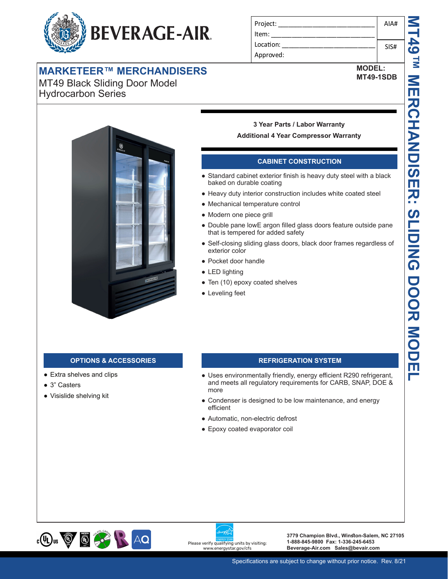

## **MARKETEER™ MERCHANDISERS**

MT49 Black Sliding Door Model Hydrocarbon Series

| Project:  | AIA# |
|-----------|------|
| Item:     |      |
| Location: | SIS# |
| Approved: |      |

**MODEL: MT49-1SDB**



# **3 Year Parts / Labor Warranty**

## **Additional 4 Year Compressor Warranty**

## **CABINET CONSTRUCTION**

- Standard cabinet exterior finish is heavy duty steel with a black baked on durable coating
- Heavy duty interior construction includes white coated steel
- Mechanical temperature control
- Modern one piece grill
- Double pane lowE argon filled glass doors feature outside pane that is tempered for added safety
- Self-closing sliding glass doors, black door frames regardless of exterior color
- Pocket door handle
- LED lighting
- Ten (10) epoxy coated shelves
- Leveling feet

- Extra shelves and clips
- 3" Casters
- Visislide shelving kit

## **OPTIONS & ACCESSORIES REFRIGERATION SYSTEM**

- Uses environmentally friendly, energy efficient R290 refrigerant, and meets all regulatory requirements for CARB, SNAP, DOE & more
- Condenser is designed to be low maintenance, and energy efficient
- Automatic, non-electric defrost
- Epoxy coated evaporator coil



Please verify qualifying units by visiting: www.energystar.gov/cfs

**3779 Champion Blvd., Winston-Salem, NC 27105 1-888-845-9800 Fax: 1-336-245-6453 Beverage-Air.com Sales@bevair.com**